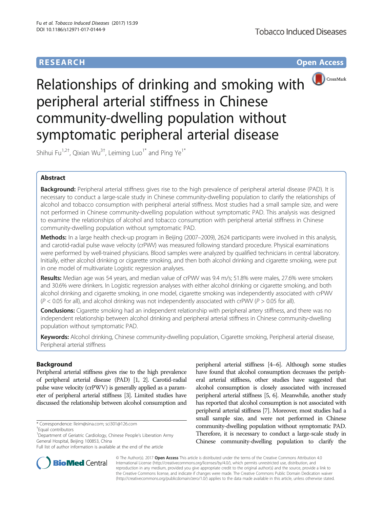# **RESEARCH CHE Open Access**



Relationships of drinking and smoking with peripheral arterial stiffness in Chinese community-dwelling population without symptomatic peripheral arterial disease

Shihui Fu $^{1,2\dagger}$ , Qixian Wu $^{3\dagger}$ , Leiming Luo $^{1*}$  and Ping Ye $^{1*}$ 

## Abstract

Background: Peripheral arterial stiffness gives rise to the high prevalence of peripheral arterial disease (PAD). It is necessary to conduct a large-scale study in Chinese community-dwelling population to clarify the relationships of alcohol and tobacco consumption with peripheral arterial stiffness. Most studies had a small sample size, and were not performed in Chinese community-dwelling population without symptomatic PAD. This analysis was designed to examine the relationships of alcohol and tobacco consumption with peripheral arterial stiffness in Chinese community-dwelling population without symptomatic PAD.

Methods: In a large health check-up program in Beijing (2007–2009), 2624 participants were involved in this analysis, and carotid-radial pulse wave velocity (crPWV) was measured following standard procedure. Physical examinations were performed by well-trained physicians. Blood samples were analyzed by qualified technicians in central laboratory. Initially, either alcohol drinking or cigarette smoking, and then both alcohol drinking and cigarette smoking, were put in one model of multivariate Logistic regression analyses.

Results: Median age was 54 years, and median value of crPWV was 9.4 m/s; 51.8% were males, 27.6% were smokers and 30.6% were drinkers. In Logistic regression analyses with either alcohol drinking or cigarette smoking, and both alcohol drinking and cigarette smoking, in one model, cigarette smoking was independently associated with crPWV  $(P < 0.05$  for all), and alcohol drinking was not independently associated with crPWV ( $P > 0.05$  for all).

Conclusions: Cigarette smoking had an independent relationship with peripheral artery stiffness, and there was no independent relationship between alcohol drinking and peripheral arterial stiffness in Chinese community-dwelling population without symptomatic PAD.

Keywords: Alcohol drinking, Chinese community-dwelling population, Cigarette smoking, Peripheral arterial disease, Peripheral arterial stiffness

## Background

Peripheral arterial stiffness gives rise to the high prevalence of peripheral arterial disease (PAD) [\[1, 2\]](#page-3-0). Carotid-radial pulse wave velocity (crPWV) is generally applied as a parameter of peripheral arterial stiffness [\[3\]](#page-3-0). Limited studies have discussed the relationship between alcohol consumption and

peripheral arterial stiffness [\[4](#page-4-0)–[6](#page-4-0)]. Although some studies have found that alcohol consumption decreases the peripheral arterial stiffness, other studies have suggested that alcohol consumption is closely associated with increased peripheral arterial stiffness [[5](#page-4-0), [6](#page-4-0)]. Meanwhile, another study has reported that alcohol consumption is not associated with peripheral arterial stiffness [[7](#page-4-0)]. Moreover, most studies had a small sample size, and were not performed in Chinese community-dwelling population without symptomatic PAD. Therefore, it is necessary to conduct a large-scale study in Chinese community-dwelling population to clarify the



© The Author(s). 2017 **Open Access** This article is distributed under the terms of the Creative Commons Attribution 4.0 International License [\(http://creativecommons.org/licenses/by/4.0/](http://creativecommons.org/licenses/by/4.0/)), which permits unrestricted use, distribution, and reproduction in any medium, provided you give appropriate credit to the original author(s) and the source, provide a link to the Creative Commons license, and indicate if changes were made. The Creative Commons Public Domain Dedication waiver [\(http://creativecommons.org/publicdomain/zero/1.0/](http://creativecommons.org/publicdomain/zero/1.0/)) applies to the data made available in this article, unless otherwise stated.

<sup>\*</sup> Correspondence: [lleim@sina.com;](mailto:lleim@sina.com) [sci301@126.com](mailto:sci301@126.com) †

Equal contributors

<sup>&</sup>lt;sup>1</sup>Department of Geriatric Cardiology, Chinese People's Liberation Army General Hospital, Beijing 100853, China

Full list of author information is available at the end of the article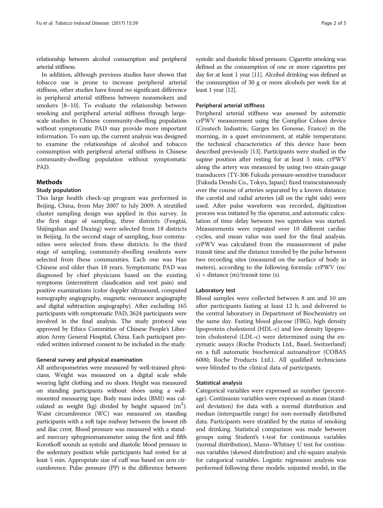relationship between alcohol consumption and peripheral arterial stiffness.

In addition, although previous studies have shown that tobacco use is prone to increase peripheral arterial stiffness, other studies have found no significant difference in peripheral arterial stiffness between nonsmokers and smokers [[8](#page-4-0)–[10](#page-4-0)]. To evaluate the relationship between smoking and peripheral arterial stiffness through largescale studies in Chinese community-dwelling population without symptomatic PAD may provide more important information. To sum up, the current analysis was designed to examine the relationships of alcohol and tobacco consumption with peripheral arterial stiffness in Chinese community-dwelling population without symptomatic PAD.

## Methods

### Study population

This large health check-up program was performed in Beijing, China, from May 2007 to July 2009. A stratified cluster sampling design was applied in this survey. In the first stage of sampling, three districts (Fengtai, Shijingshan and Daxing) were selected from 18 districts in Beijing. In the second stage of sampling, four communities were selected from these districts. In the third stage of sampling, community-dwelling residents were selected from these communities. Each one was Han Chinese and older than 18 years. Symptomatic PAD was diagnosed by chief physicians based on the existing symptoms (intermittent claudication and rest pain) and positive examinations (color doppler ultrasound, computed tomography angiography, magnetic resonance angiography and digital subtraction angiography). After excluding 165 participants with symptomatic PAD, 2624 participants were involved in the final analysis. The study protocol was approved by Ethics Committee of Chinese People's Liberation Army General Hospital, China. Each participant provided written informed consent to be included in the study.

### General survey and physical examination

All anthropometries were measured by well-trained physicians. Weight was measured on a digital scale while wearing light clothing and no shoes. Height was measured on standing participants without shoes using a wallmounted measuring tape. Body mass index (BMI) was calculated as weight (kg) divided by height squared  $(m^2)$ . Waist circumference (WC) was measured on standing participants with a soft tape midway between the lowest rib and iliac crest. Blood pressure was measured with a standard mercury sphygmomanometer using the first and fifth Korotkoff sounds as systolic and diastolic blood pressure in the sedentary position while participants had rested for at least 5 min. Appropriate size of cuff was based on arm circumference. Pulse pressure (PP) is the difference between systolic and diastolic blood pressure. Cigarette smoking was defined as the consumption of one or more cigarettes per day for at least 1 year [\[11](#page-4-0)]. Alcohol drinking was defined as the consumption of 30 g or more alcohols per week for at least 1 year [\[12](#page-4-0)].

### Peripheral arterial stiffness

Peripheral arterial stiffness was assessed by automatic crPWV measurement using the Complior Colson device (Createch Industrie, Garges les Gonesse, France) in the morning, in a quiet environment, at stable temperature; the technical characteristics of this device have been described previously [[13](#page-4-0)]. Participants were studied in the supine position after resting for at least 5 min. crPWV along the artery was measured by using two strain-gauge transducers (TY-306 Fukuda pressure-sensitive transducer [Fukuda Denshi Co., Tokyo, Japan]) fixed transcutaneously over the course of arteries separated by a known distance; the carotid and radial arteries (all on the right side) were used. After pulse waveform was recorded, digitization process was initiated by the operator, and automatic calculation of time delay between two upstrokes was started. Measurements were repeated over 10 different cardiac cycles, and mean value was used for the final analysis. crPWV was calculated from the measurement of pulse transit time and the distance traveled by the pulse between two recording sites (measured on the surface of body in meters), according to the following formula: crPWV (m/ s) = distance  $(m)/$ transit time (s).

#### Laboratory test

Blood samples were collected between 8 am and 10 am after participants fasting at least 12 h, and delivered to the central laboratory in Department of Biochemistry on the same day. Fasting blood glucose (FBG), high density lipoprotein cholesterol (HDL-c) and low density lipoprotein cholesterol (LDL-c) were determined using the enzymatic assays (Roche Products Ltd., Basel, Switzerland) on a full automatic biochemical autoanalyzer (COBAS 6000; Roche Products Ltd.). All qualified technicians were blinded to the clinical data of participants.

### Statistical analysis

Categorical variables were expressed as number (percentage). Continuous variables were expressed as mean (standard deviation) for data with a normal distribution and median (interquartile range) for non-normally distributed data. Participants were stratified by the status of smoking and drinking. Statistical comparison was made between groups using Student's t-test for continuous variables (normal distribution), Mann–Whitney U test for continuous variables (skewed distribution) and chi-square analysis for categorical variables. Logistic regression analysis was performed following three models: unjusted model, in the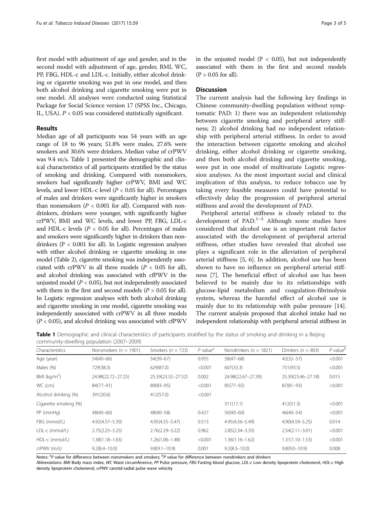first model with adjustment of age and gender, and in the second model with adjustment of age, gender, BMI, WC, PP, FBG, HDL-c and LDL-c. Initially, either alcohol drinking or cigarette smoking was put in one model, and then both alcohol drinking and cigarette smoking were put in one model. All analyses were conducted using Statistical Package for Social Science version 17 (SPSS Inc., Chicago, IL, USA).  $P < 0.05$  was considered statistically significant.

## Results

Median age of all participants was 54 years with an age range of 18 to 96 years; 51.8% were males, 27.6% were smokers and 30.6% were drinkers. Median value of crPWV was 9.4 m/s. Table 1 presented the demographic and clinical characteristics of all participants stratified by the status of smoking and drinking. Compared with nonsmokers, smokers had significantly higher crPWV, BMI and WC levels, and lower HDL-c level  $(P < 0.05$  for all). Percentages of males and drinkers were significantly higher in smokers than nonsmokers ( $P < 0.001$  for all). Compared with nondrinkers, drinkers were younger, with significantly higher crPWV, BMI and WC levels, and lower PP, FBG, LDL-c and HDL-c levels ( $P < 0.05$  for all). Percentages of males and smokers were significantly higher in drinkers than nondrinkers (P < 0.001 for all). In Logistic regression analyses with either alcohol drinking or cigarette smoking in one model (Table [2\)](#page-3-0), cigarette smoking was independently associated with crPWV in all three models ( $P < 0.05$  for all), and alcohol drinking was associated with cfPWV in the unjusted model ( $P < 0.05$ ), but not independently associated with them in the first and second models  $(P > 0.05$  for all). In Logistic regression analyses with both alcohol drinking and cigarette smoking in one model, cigarette smoking was independently associated with crPWV in all three models  $(P < 0.05)$ , and alcohol drinking was associated with cfPWV

in the unjusted model ( $P < 0.05$ ), but not independently associated with them in the first and second models  $(P > 0.05$  for all).

### **Discussion**

The current analysis had the following key findings in Chinese community-dwelling population without symptomatic PAD: 1) there was an independent relationship between cigarette smoking and peripheral artery stiffness; 2) alcohol drinking had no independent relationship with peripheral arterial stiffness. In order to avoid the interaction between cigarette smoking and alcohol drinking, either alcohol drinking or cigarette smoking, and then both alcohol drinking and cigarette smoking, were put in one model of multivariate Logistic regression analyses. As the most important social and clinical implication of this analysis, to reduce tobacco use by taking every feasible measures could have potential to effectively delay the progression of peripheral arterial stiffness and avoid the development of PAD.

Peripheral arterial stiffness is closely related to the development of  $PAD.<sup>1-3</sup>$  Although some studies have considered that alcohol use is an important risk factor associated with the development of peripheral arterial stiffness, other studies have revealed that alcohol use plays a significant role in the alleviation of peripheral arterial stiffness [\[5](#page-4-0), [6\]](#page-4-0). In addition, alcohol use has been shown to have no influence on peripheral arterial stiffness [[7\]](#page-4-0). The beneficial effect of alcohol use has been believed to be mainly due to its relationships with glucose-lipid metabolism and coagulation-fibrinolysis system, whereas the harmful effect of alcohol use is mainly due to its relationship with pulse pressure [\[14](#page-4-0)]. The current analysis proposed that alcohol intake had no independent relationship with peripheral arterial stiffness in

**Table 1** Demographic and clinical characteristics of participants stratified by the status of smoking and drinking in a Beijing community-dwelling population (2007–2009)

| Characteristics       | Nonsmokers ( $n = 1901$ ) | Smokers ( $n = 723$ ) | $P$ value <sup>a</sup> | Nondrinkers ( $n = 1821$ ) | Drinkers ( $n = 803$ ) | $P$ value <sup><math>E</math></sup> |
|-----------------------|---------------------------|-----------------------|------------------------|----------------------------|------------------------|-------------------------------------|
| Age (year)            | $54(40-66)$               | $54(39-67)$           | 0.955                  | $58(47-68)$                | $42(32 - 57)$          | < 0.001                             |
| Males (%)             | 729(38.3)                 | 629(87.0)             | < 0.001                | 607(33.3)                  | 751(93.5)              | < 0.001                             |
| BMI ( $kg/m2$ )       | 24.98(22.72-27.25)        | 25.39(23.32-27.52)    | 0.002                  | 24.98(22.67-27.39)         | 25.39(23.46-27.18)     | 0.015                               |
| WC (cm)               | 84(77-91)                 | $89(83 - 95)$         | < 0.001                | $85(77-92)$                | $87(81 - 93)$          | < 0.001                             |
| Alcohol drinking (%)  | 391(20.6)                 | 412(57.0)             | < 0.001                |                            |                        |                                     |
| Cigarette smoking (%) |                           |                       |                        | 311(17.1)                  | 412(51.3)              | < 0.001                             |
| PP (mmHg)             | $48(40 - 60)$             | $48(40 - 58)$         | 0.427                  | $50(40 - 60)$              | $46(40 - 54)$          | < 0.001                             |
| FBG (mmol/L)          | $4.92(4.57 - 5.39)$       | $4.95(4.55 - 5.47)$   | 0.513                  | 4.95(4.56-5.49)            | $4.90(4.59 - 5.25)$    | 0.014                               |
| LDL-c (mmol/L)        | $2.75(2.25 - 3.25)$       | $2.76(2.29 - 3.22)$   | 0.962                  | $2.85(2.34 - 3.35)$        | $2.54(2.11 - 3.01)$    | < 0.001                             |
| HDL-c (mmol/L)        | $1.38(1.18 - 1.63)$       | $1.26(1.06 - 1.48)$   | < 0.001                | $1.36(1.16 - 1.62)$        | $1.31(1.10 - 1.53)$    | < 0.001                             |
| crPWV(m/s)            | $9.2(8.4 - 10.0)$         | $9.8(9.1 - 10.9)$     | 0.001                  | $9.2(8.3 - 10.0)$          | $9.8(9.0 - 10.9)$      | 0.008                               |

Notes: <sup>a</sup>P value for difference between nonsmokers and smokers; <sup>b</sup>P value for difference between nondrinkers and drinkers

Abbreviations: BMI Body mass index, WC Waist circumference, PP Pulse pressure, FBG Fasting blood glucose, LDL-c Low density lipoprotein cholesterol, HDL-c High density lipoprotein cholesterol, crPWV carotid-radial pulse wave velocity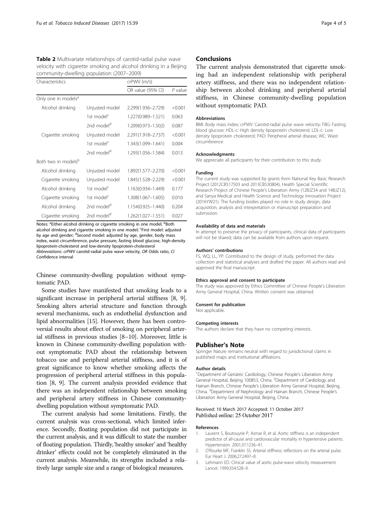<span id="page-3-0"></span>

| Table 2 Multivariate relationships of carotid-radial pulse wave   |
|-------------------------------------------------------------------|
| velocity with cigarette smoking and alcohol drinking in a Beijing |
| community-dwelling population (2007-2009)                         |

| Characteristics                 |                        | crPWV (m/s)        |           |  |
|---------------------------------|------------------------|--------------------|-----------|--|
|                                 |                        | OR value (95% CI)  | $P$ value |  |
| Only one in models <sup>a</sup> |                        |                    |           |  |
| Alcohol drinking                | Unjusted model         | 2.299(1.936-2.729) | < 0.001   |  |
|                                 | 1st model <sup>c</sup> | 1.227(0.989-1.521) | 0.063     |  |
|                                 | 2nd model <sup>d</sup> | 1.209(0.973-1.502) | 0.087     |  |
| Cigarette smoking               | Unjusted model         | 2.291(1.918-2.737) | < 0.001   |  |
|                                 | 1st model <sup>c</sup> | 1.343(1.099-1.641) | 0.004     |  |
|                                 | 2nd model <sup>d</sup> | 1.293(1.056-1.584) | 0.013     |  |
| Both two in models <sup>b</sup> |                        |                    |           |  |
| Alcohol drinking                | Unjusted model         | 1.892(1.577-2.270) | < 0.001   |  |
| Cigarette smoking               | Unjusted model         | 1.845(1.528-2.229) | < 0.001   |  |
| Alcohol drinking                | 1st model <sup>c</sup> | 1.163(0.934-1.449) | 0.177     |  |
| Cigarette smoking               | 1st model <sup>c</sup> | 1.308(1.067-1.605) | 0.010     |  |
| Alcohol drinking                | 2nd model <sup>d</sup> | 1.154(0.925-1.440) | 0.204     |  |
| Cigarette smoking               | 2nd model <sup>d</sup> | 1.262(1.027-1.551) | 0.027     |  |

Notes: <sup>a</sup>Either alcohol drinking or cigarette smoking in one model; <sup>b</sup>Both alcohol drinking and cigarette smoking in one model; 'First model: adjusted by age and gender; <sup>d</sup>Second model: adjusted by age, gender, body mass index, waist circumference, pulse pressure, fasting blood glucose, high-density lipoprotein-cholesterol and low-density lipoprotein-cholesterol Abbreviations: crPWV carotid-radial pulse wave velocity, OR Odds ratio, CI Confidence interval

Chinese community-dwelling population without symptomatic PAD.

Some studies have manifested that smoking leads to a significant increase in peripheral arterial stiffness [\[8, 9](#page-4-0)]. Smoking alters arterial structure and function through several mechanisms, such as endothelial dysfunction and lipid abnormalities [\[15](#page-4-0)]. However, there has been controversial results about effect of smoking on peripheral arterial stiffness in previous studies [\[8](#page-4-0)–[10](#page-4-0)]. Moreover, little is known in Chinese community-dwelling population without symptomatic PAD about the relationship between tobacco use and peripheral arterial stiffness, and it is of great significance to know whether smoking affects the progression of peripheral arterial stiffness in this population [\[8](#page-4-0), [9](#page-4-0)]. The current analysis provided evidence that there was an independent relationship between smoking and peripheral artery stiffness in Chinese communitydwelling population without symptomatic PAD.

The current analysis had some limitations. Firstly, the current analysis was cross-sectional, which limited inference. Secondly, floating population did not participate in the current analysis, and it was difficult to state the number of floating population. Thirdly,'healthy smoker' and 'healthy drinker' effects could not be completely eliminated in the current analysis. Meanwhile, its strengths included a relatively large sample size and a range of biological measures.

## Conclusions

The current analysis demonstrated that cigarette smoking had an independent relationship with peripheral artery stiffness, and there was no independent relationship between alcohol drinking and peripheral arterial stiffness, in Chinese community-dwelling population without symptomatic PAD.

#### Abbreviations

BMI: Body mass index; crPWV: Carotid-radial pulse wave velocity; FBG: Fasting blood glucose; HDL-c: High density lipoprotein cholesterol; LDL-c: Low density lipoprotein cholesterol; PAD: Peripheral arterial disease; WC: Waist circumference

### Acknowledgments

We appreciate all participants for their contribution to this study.

#### Funding

The current study was supported by grants from National Key Basic Research Project (2012CB517503 and 2013CB530804), Health Special Scientific Research Project of Chinese People's Liberation Army (12BJZ34 and 14BJZ12), and Sanya Medical and Health Science and Technology Innovation Project (2016YW21). The funding bodies played no role in study design, data acquisition, analysis and interpretation or manuscript preparation and submission.

#### Availability of data and materials

In attempt to preserve the privacy of participants, clinical data of participants will not be shared; data can be available from authors upon request.

#### Authors' contributions

FS, WQ, LL, YP: Contributed to the design of study, performed the data collection and statistical analyses and drafted the paper. All authors read and approved the final manuscript.

#### Ethics approval and consent to participate

The study was approved by Ethics Committee of Chinese People's Liberation Army General Hospital, China. Written consent was obtained.

#### Consent for publication

Not applicable.

#### Competing interests

The authors declare that they have no competing interests.

#### Publisher's Note

Springer Nature remains neutral with regard to jurisdictional claims in published maps and institutional affiliations.

#### Author details

<sup>1</sup>Department of Geriatric Cardiology, Chinese People's Liberation Army General Hospital, Beijing 100853, China. <sup>2</sup>Department of Cardiology and Hainan Branch, Chinese People's Liberation Army General Hospital, Beijing, China. <sup>3</sup> Department of Nephrology and Hainan Branch, Chinese People's Liberation Army General Hospital, Beijing, China.

#### Received: 10 March 2017 Accepted: 11 October 2017 Published online: 25 October 2017

#### References

- 1. Laurent S, Boutouyrie P, Asmar R, et al. Aortic stiffness is an independent predictor of all-cause and cardiovascular mortality in hypertensive patients. Hypertension. 2001;37:1236–41.
- 2. O'Rourke MF, Franklin SS. Arterial stiffness: reflections on the arterial pulse. Eur Heart J. 2006;27:2497–8.
- 3. Lehmann ED. Clinical value of aortic pulse-wave velocity measurement. Lancet. 1999;354:528–9.